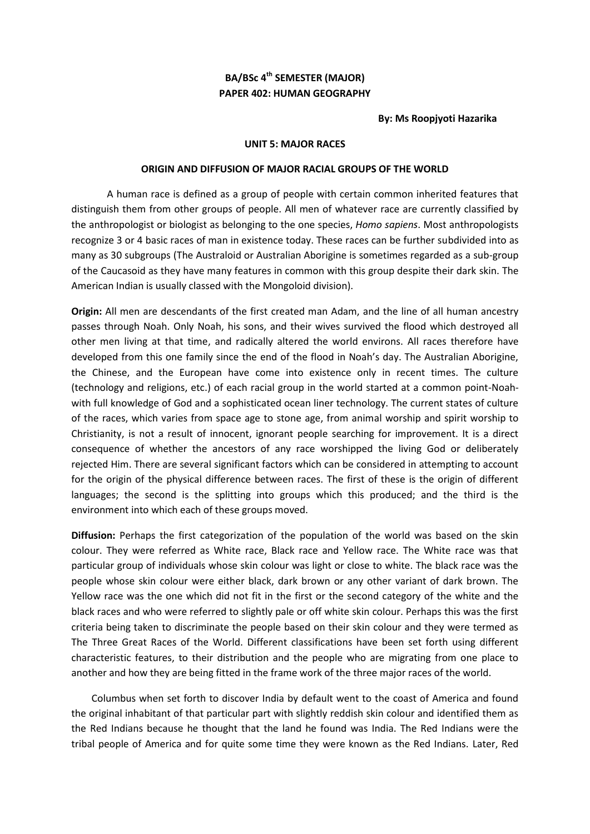## **BA/BSc 4 th SEMESTER (MAJOR) PAPER 402: HUMAN GEOGRAPHY**

**By: Ms Roopjyoti Hazarika**

## **UNIT 5: MAJOR RACES**

## **ORIGIN AND DIFFUSION OF MAJOR RACIAL GROUPS OF THE WORLD**

A human race is defined as a group of people with certain common inherited features that distinguish them from other groups of people. All men of whatever race are currently classified by the anthropologist or biologist as belonging to the one species, *Homo sapiens*. Most anthropologists recognize 3 or 4 basic races of man in existence today. These races can be further subdivided into as many as 30 subgroups (The Australoid or Australian Aborigine is sometimes regarded as a sub-group of the Caucasoid as they have many features in common with this group despite their dark skin. The American Indian is usually classed with the Mongoloid division).

**Origin:** All men are descendants of the first created man Adam, and the line of all human ancestry passes through Noah. Only Noah, his sons, and their wives survived the flood which destroyed all other men living at that time, and radically altered the world environs. All races therefore have developed from this one family since the end of the flood in Noah's day. The Australian Aborigine, the Chinese, and the European have come into existence only in recent times. The culture (technology and religions, etc.) of each racial group in the world started at a common point-Noahwith full knowledge of God and a sophisticated ocean liner technology. The current states of culture of the races, which varies from space age to stone age, from animal worship and spirit worship to Christianity, is not a result of innocent, ignorant people searching for improvement. It is a direct consequence of whether the ancestors of any race worshipped the living God or deliberately rejected Him. There are several significant factors which can be considered in attempting to account for the origin of the physical difference between races. The first of these is the origin of different languages; the second is the splitting into groups which this produced; and the third is the environment into which each of these groups moved.

**Diffusion:** Perhaps the first categorization of the population of the world was based on the skin colour. They were referred as White race, Black race and Yellow race. The White race was that particular group of individuals whose skin colour was light or close to white. The black race was the people whose skin colour were either black, dark brown or any other variant of dark brown. The Yellow race was the one which did not fit in the first or the second category of the white and the black races and who were referred to slightly pale or off white skin colour. Perhaps this was the first criteria being taken to discriminate the people based on their skin colour and they were termed as The Three Great Races of the World. Different classifications have been set forth using different characteristic features, to their distribution and the people who are migrating from one place to another and how they are being fitted in the frame work of the three major races of the world.

Columbus when set forth to discover India by default went to the coast of America and found the original inhabitant of that particular part with slightly reddish skin colour and identified them as the Red Indians because he thought that the land he found was India. The Red Indians were the tribal people of America and for quite some time they were known as the Red Indians. Later, Red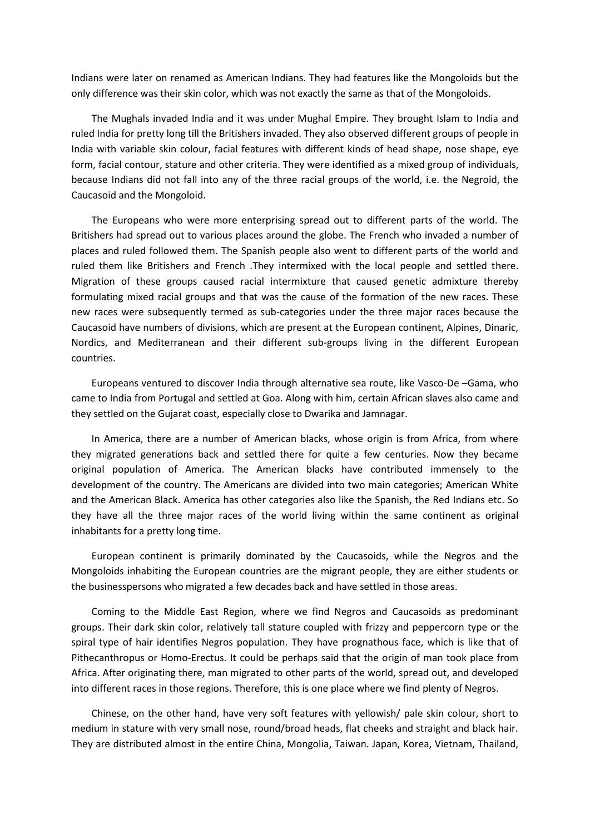Indians were later on renamed as American Indians. They had features like the Mongoloids but the only difference was their skin color, which was not exactly the same as that of the Mongoloids.

The Mughals invaded India and it was under Mughal Empire. They brought Islam to India and ruled India for pretty long till the Britishers invaded. They also observed different groups of people in India with variable skin colour, facial features with different kinds of head shape, nose shape, eye form, facial contour, stature and other criteria. They were identified as a mixed group of individuals, because Indians did not fall into any of the three racial groups of the world, i.e. the Negroid, the Caucasoid and the Mongoloid.

The Europeans who were more enterprising spread out to different parts of the world. The Britishers had spread out to various places around the globe. The French who invaded a number of places and ruled followed them. The Spanish people also went to different parts of the world and ruled them like Britishers and French .They intermixed with the local people and settled there. Migration of these groups caused racial intermixture that caused genetic admixture thereby formulating mixed racial groups and that was the cause of the formation of the new races. These new races were subsequently termed as sub-categories under the three major races because the Caucasoid have numbers of divisions, which are present at the European continent, Alpines, Dinaric, Nordics, and Mediterranean and their different sub-groups living in the different European countries.

Europeans ventured to discover India through alternative sea route, like Vasco-De –Gama, who came to India from Portugal and settled at Goa. Along with him, certain African slaves also came and they settled on the Gujarat coast, especially close to Dwarika and Jamnagar.

In America, there are a number of American blacks, whose origin is from Africa, from where they migrated generations back and settled there for quite a few centuries. Now they became original population of America. The American blacks have contributed immensely to the development of the country. The Americans are divided into two main categories; American White and the American Black. America has other categories also like the Spanish, the Red Indians etc. So they have all the three major races of the world living within the same continent as original inhabitants for a pretty long time.

European continent is primarily dominated by the Caucasoids, while the Negros and the Mongoloids inhabiting the European countries are the migrant people, they are either students or the businesspersons who migrated a few decades back and have settled in those areas.

Coming to the Middle East Region, where we find Negros and Caucasoids as predominant groups. Their dark skin color, relatively tall stature coupled with frizzy and peppercorn type or the spiral type of hair identifies Negros population. They have prognathous face, which is like that of Pithecanthropus or Homo-Erectus. It could be perhaps said that the origin of man took place from Africa. After originating there, man migrated to other parts of the world, spread out, and developed into different races in those regions. Therefore, this is one place where we find plenty of Negros.

Chinese, on the other hand, have very soft features with yellowish/ pale skin colour, short to medium in stature with very small nose, round/broad heads, flat cheeks and straight and black hair. They are distributed almost in the entire China, Mongolia, Taiwan. Japan, Korea, Vietnam, Thailand,